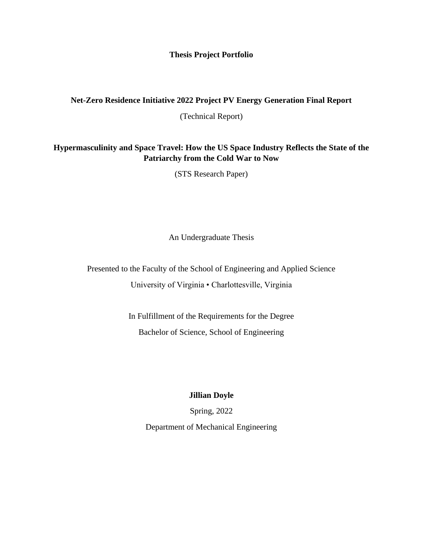#### **Thesis Project Portfolio**

#### **Net-Zero Residence Initiative 2022 Project PV Energy Generation Final Report**

(Technical Report)

## **Hypermasculinity and Space Travel: How the US Space Industry Reflects the State of the Patriarchy from the Cold War to Now**

(STS Research Paper)

An Undergraduate Thesis

Presented to the Faculty of the School of Engineering and Applied Science University of Virginia • Charlottesville, Virginia

> In Fulfillment of the Requirements for the Degree Bachelor of Science, School of Engineering

### **Jillian Doyle**

Spring, 2022 Department of Mechanical Engineering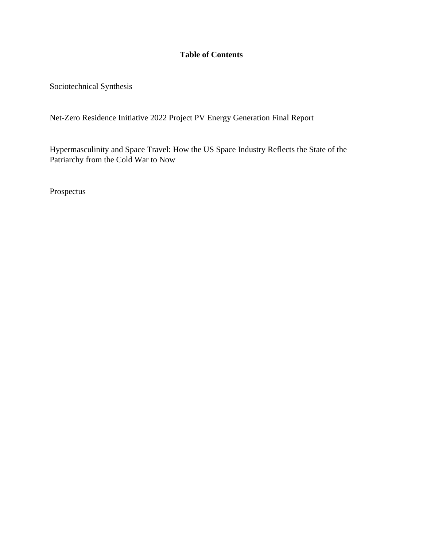# **Table of Contents**

Sociotechnical Synthesis

Net-Zero Residence Initiative 2022 Project PV Energy Generation Final Report

Hypermasculinity and Space Travel: How the US Space Industry Reflects the State of the Patriarchy from the Cold War to Now

Prospectus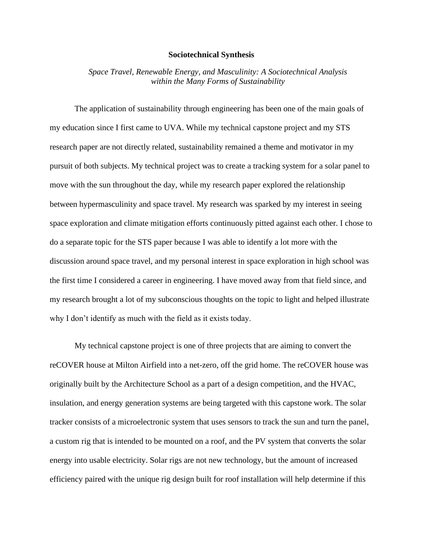#### **Sociotechnical Synthesis**

*Space Travel, Renewable Energy, and Masculinity: A Sociotechnical Analysis within the Many Forms of Sustainability*

The application of sustainability through engineering has been one of the main goals of my education since I first came to UVA. While my technical capstone project and my STS research paper are not directly related, sustainability remained a theme and motivator in my pursuit of both subjects. My technical project was to create a tracking system for a solar panel to move with the sun throughout the day, while my research paper explored the relationship between hypermasculinity and space travel. My research was sparked by my interest in seeing space exploration and climate mitigation efforts continuously pitted against each other. I chose to do a separate topic for the STS paper because I was able to identify a lot more with the discussion around space travel, and my personal interest in space exploration in high school was the first time I considered a career in engineering. I have moved away from that field since, and my research brought a lot of my subconscious thoughts on the topic to light and helped illustrate why I don't identify as much with the field as it exists today.

My technical capstone project is one of three projects that are aiming to convert the reCOVER house at Milton Airfield into a net-zero, off the grid home. The reCOVER house was originally built by the Architecture School as a part of a design competition, and the HVAC, insulation, and energy generation systems are being targeted with this capstone work. The solar tracker consists of a microelectronic system that uses sensors to track the sun and turn the panel, a custom rig that is intended to be mounted on a roof, and the PV system that converts the solar energy into usable electricity. Solar rigs are not new technology, but the amount of increased efficiency paired with the unique rig design built for roof installation will help determine if this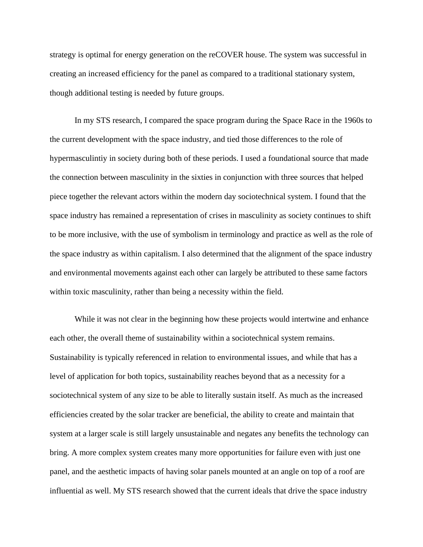strategy is optimal for energy generation on the reCOVER house. The system was successful in creating an increased efficiency for the panel as compared to a traditional stationary system, though additional testing is needed by future groups.

In my STS research, I compared the space program during the Space Race in the 1960s to the current development with the space industry, and tied those differences to the role of hypermasculintiy in society during both of these periods. I used a foundational source that made the connection between masculinity in the sixties in conjunction with three sources that helped piece together the relevant actors within the modern day sociotechnical system. I found that the space industry has remained a representation of crises in masculinity as society continues to shift to be more inclusive, with the use of symbolism in terminology and practice as well as the role of the space industry as within capitalism. I also determined that the alignment of the space industry and environmental movements against each other can largely be attributed to these same factors within toxic masculinity, rather than being a necessity within the field.

While it was not clear in the beginning how these projects would intertwine and enhance each other, the overall theme of sustainability within a sociotechnical system remains. Sustainability is typically referenced in relation to environmental issues, and while that has a level of application for both topics, sustainability reaches beyond that as a necessity for a sociotechnical system of any size to be able to literally sustain itself. As much as the increased efficiencies created by the solar tracker are beneficial, the ability to create and maintain that system at a larger scale is still largely unsustainable and negates any benefits the technology can bring. A more complex system creates many more opportunities for failure even with just one panel, and the aesthetic impacts of having solar panels mounted at an angle on top of a roof are influential as well. My STS research showed that the current ideals that drive the space industry